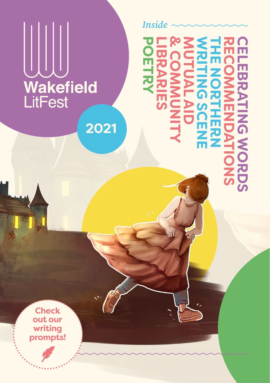# Wakefield<br>LitFest

**2021**

*Inside*

**& COMMUNITY MUTUAL AID WRITING SCENE THE NORTHERN CELEBRATING WORDS POETRY LIBRARIES RECOMMENDATIONS** ETRY  $\overline{\mathbf{u}}$  $\overline{\mathbf{u}}$ 四の ING WORDS

**Check out our writing prompts!**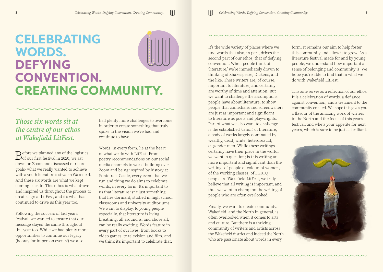## **CELEBRATING WORDS. DEFYING CONVENTION. CREATING COMMUNITY.**

#### *Those six words sit at the centre of our ethos at Wakefield LitFest.*

Before we planned any of the logistics<br>
of our first festival in 2020, we sat down on Zoom and discussed our core goals- what we really wanted to achieve with a youth literature festival in Wakefield. And these six words are what we kept coming back to. This ethos is what drove and inspired us throughout the process to create a great LitFest, and it's what has continued to drive us this year too.

Following the success of last year's festival, we wanted to ensure that our message stayed the same throughout this year too. While we had plenty more opportunities to continue our legacy (hooray for in-person events!) we also

had plenty more challenges to overcome in order to create something that truly spoke to the vision we've had and continue to have.

Words, in every form, lie at the heart of what we do with LitFest. From poetry recommendations on our social media channels to world-building over Zoom and being inspired by history at Pontefract Castle, every event that we run and thing we do aims to celebrate words, in every form. It's important to us that literature isn't just something that lies dormant, studied in high school classrooms and university auditoriums. We want to display, to young people especially, that literature is living, breathing, all around is, and above all, can be really exciting. Words feature in every part of our lives, from books to video games, to television and film, and we think it's important to celebrate that.

It's the wide variety of places where we find words that also, in part, drives the second part of our ethos, that of defying convention. When people think of 'literature,' we're immediately drawn to thinking of Shakespeare, Dickens, and the like. These writers are, of course, important to literature, and certainly are worthy of time and attention. But we want to challenge the assumptions people have about literature, to show people that comedians and screenwriters are just as important and significant to literature as poets and playwrights. Part of what we also want to challenge is the established 'canon' of literature, a body of works largely dominated by wealthy, dead, white, heterosexual, cisgender men. While these writings certainly have their place in the world, we want to question; is this writing an more important and significant than the writings of people of colour, of women, of the working classes, of LGBTQ+ people. At Wakefield LitFest, we truly believe that all writing is important, and thus we want to champion the writing of people who are often overlooked.

Finally, we want to create community. Wakefield, and the North in general, is often overlooked when it comes to arts and culture. But there is a thriving community of writers and artists across the Wakefield district and indeed the North who are passionate about words in every

form. It remains our aim to help foster this community and allow it to grow. As a literature festival made for and by young people, we understand how important a sense of belonging and community is. We hope you're able to find that in what we do with Wakefield LitFest.

This zine serves as a reflection of our ethos. It is a celebration of words, a defiance against convention, and a testament to the community created. We hope this gives you a flavour of the amazing work of writers in the North and the focus of this year's festival, and whets your appetite for next year's, which is sure to be just as brilliant.

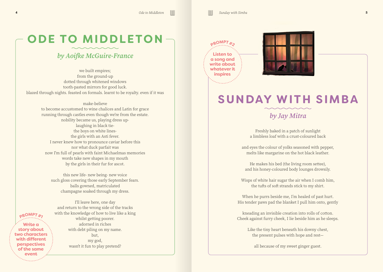## **ODE TO MIDDLETON**

#### *by Aoifke McGuire-France*

we built empires; from the ground-up dotted through whitened windows tooth-pasted mirrors for good luck. blazed through nights. feasted on formals. learnt to be royalty. even if it was

#### make-believe to become accustomed to wine chalices and Latin for grace running through castles even though we're from the estate. nobility became us, playing dress uplaughing in black tiethe boys on white linesthe girls with an Asti fever. I never knew how to pronounce caviar before this nor what duck parfait was now I'm full of pearls with faint Michaelmas memories words take new shapes in my mouth by the girls in their fur for ascot.

this new life- new being- new voice such gloss covering those early September fears. balls gowned, matriculated champagne soaked through my dress.

I'll leave here, one day and return to the wrong side of the tracks with the knowledge of how to live like a king whilst getting poorer. adorned in riches with debt piling on my name. but, my god, wasn't it fun to play pretend?

**Listen to a song and write about whatever it inspires <sup>P</sup>ROMPT#<sup>2</sup>**



## **SUNDAY WITH SIMBA**

#### *by Jay Mitra*

Freshly baked in a patch of sunlight a limbless loaf with a crust-coloured back

and eyes the colour of yolks seasoned with pepper, melts like margarine on the hot black leather.

He makes his bed (the living room settee), and his honey-coloured body lounges drowsily.

Wisps of white hair sugar the air when I comb him, the tufts of soft strands stick to my shirt.

When he purrs beside me, I'm healed of past hurt. His tender paws pad the blanket I pull him onto, gently

kneading an invisible creation into rolls of cotton. Cheek against furry cheek, I lie beside him as he sleeps.

Like the tiny heart beneath his downy chest, the present pulses with hope and rest—

all because of my sweet ginger guest.

**Write a story about two characters with different perspectives of the same event**

**<sup>P</sup>ROMPT#1**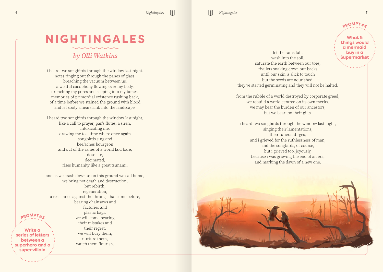## **NIGHTINGALES**

i heard two songbirds through the window last night. notes ringing out through the panes of glass, breaching the vacuum between us. a wistful cacophony flowing over my body, drenching my pores and seeping into my bones. memories of primordial existence rushing back, of a time before we stained the ground with blood and let sooty smears sink into the landscape.

i heard two songbirds through the window last night, like a call to prayer, pan's flutes, a siren, intoxicating me, drawing me to a time where once again songbirds sing and bee/aches bourgeon and out of the ashes of a world laid bare, desolate, decimated, rises humanity like a great tsunami.

and as we crash down upon this ground we call home, we bring not death and destruction, but rebirth, regeneration, a resistance against the throngs that came before, bearing chainsaws and factories and plastic bags. we will come bearing their mistakes and their regret. we will bury them, nurture them, **series of letters between a** 

watch them flourish.

**by Olli Watkins** let the rains fall, wash into the soil, saturate the earth between our toes, rivulets snaking down our backs until our skin is slick to touch but the seeds are nourished. they've started germinating and they will not be halted.

> from the rubble of a world destroyed by corporate greed, we rebuild a world centred on its own merits. we may bear the burden of our ancestors, but we bear too their gifts.

i heard two songbirds through the window last night, singing their lamentations, their funeral dirges, and i grieved for the ruthlessness of man, and the songbirds, of course, but i grieved too, joyously, because i was grieving the end of an era, and marking the dawn of a new one.



**PROMPT#4**

**Write a** 

**<sup>P</sup>ROMPT#<sup>3</sup>**

**superhero and a super villain**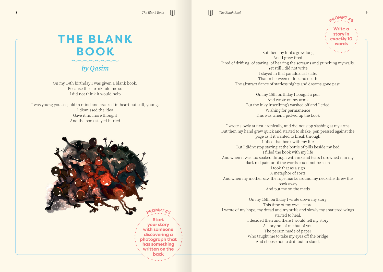

## **THE BLANK BOOK**

#### *by Qasim*

On my 14th birthday I was given a blank book. Because the shrink told me so I did not think it would help

I was young you see, old in mind and cracked in heart but still, young. I dismissed the idea Gave it no more thought And the book stayed buried



But then my limbs grew long And I grew tired Tired of drifting, of staring, of hearing the screams and punching my walls. Yet still I did not write I stayed in that paradoxical state. That in between of life and death The abstract dance of starless nights and dreams gone past.

**Write a story in exactly 10 words**

**PROMPT#6**

On my 15th birthday I bought a pen And wrote on my arms But the inky inscribing's washed off and I cried Wishing for permanence This was when I picked up the book

I wrote slowly at first, ironically, and did not stop slashing at my arms But then my hand grew quick and started to shake, pen pressed against the page as if it wanted to break through I filled that book with my life But I didn't stop staring at the bottle of pills beside my bed I filled the book with my life And when it was too soaked through with ink and tears I drowned it in my dark red pain until the words could not be seen I took that as a sign A metaphor of sorts And when my mother saw the rope marks around my neck she threw the book away And put me on the meds

On my 16th birthday I wrote down my story This time of my own accord I wrote of my hope, my dread and my strife and slowly my shattered wings started to heal. I decided then and there I would tell my story A story not of me but of you The person made of paper Who taught me to take my eyes off the bridge And choose not to drift but to stand.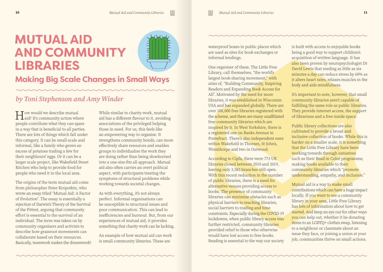## **MUTUAL AID AND COMMUNITY LIBRARIES**



## **Making Big Scale Changes in Small Ways**

#### *by Toni Stephenson and Amy Winder*

How would we describe mutual aid? It's community action where people contribute what they can spare in a way that is beneficial to all parties. There are lots of things which fall under this category. It can be small-scale and informal, like a family who grows an excess of potatoes trading a few for their neighbours' eggs. Or it can be a larger scale project, like Wakefield Street Kitchen who help to provide food for people who need it in the local area.

The origins of the term mutual aid come from philosopher Peter Kropotkin, who wrote an essay titled "Mutual Aid: A Factor of Evolution". The essay is essentially a rejection of Darwin's Theory of the Survival of the Fittest, arguing that community effort is essential to the survival of an individual. The term was taken on by community organisers and activists to describe how grassroot movements can collaborate based on their resources. Basically, teamwork makes the dreamwork!

While similar to charity work, mutual aid has a different flavour to it, avoiding associations of the privileged helping those in need. For us, this feels like an empowering way to organise. It strengthens community bonds, can more effectively share resources and enables groups to individualise the work they are doing rather than being shoehorned into a one-size-fits all approach. Mutual aid also often carries an overt political aspect, with participants treating the symptoms of structural problems while working towards societal changes.

As with everything, it's not always perfect. Informal organisations can be susceptible to structural issues and poor communication. This can lead to inefficiencies and burnout. But, from our experiences of mutual aid, it provides something that charity work can be lacking.

An example of how mutual aid can work is small community libraries. These are

waterproof boxes in public places which are used as sites for book exchanges or informal lendings.

One organiser of these, The Little Free Library, call themselves, "the world's largest book-sharing movement," with aims of, "Building Community, Inspiring Readers and Expanding Book Access for All". Motivated by the need for more libraries, it was established in Wisconsin USA and has expanded globally. There are over 100,000 free libraries registered with the scheme, and there are many unaffiliated free community libraries which are inspired by it. In West Yorkshire, there is a registered one on Banks Avenue in Pontefract. There's also independent ones within Wakefield in Thornes, St John's, Wrenthorpe and two in Outwood.

According to Cipfa, there were 773 UK libraries closed between 2010 and 2019, leaving only 3,583 branches still open. With this recent reduction in the number of public libraries, there is a need for alternative venues providing access to books. The presence of community libraries can minimise obstacles such as physical barriers to reaching libraries, social barriers to reading and time constraints. Especially during the COVID-19 lockdowns, when public library access was further restricted, community libraries provided relief to those who otherwise would have lost access to free books. Reading is essential to the way our society

is built with access to enjoyable books being a good way to support children's acquisition of written language. It has also been proven by neuropsychologist Dr David Lewis that reading as little as six minutes a day can reduce stress by 60% as it alters heart rates, relaxes muscles in the body and aids mindfulness.

It's important to note, however, that small community libraries aren't capable of fulfilling the same role as public libraries. They provide internet access, the support of librarians and a free inside space.

Public library collections are also cultivated to provide a broad and inclusive collection of books. While this is harder on a smaller scale, it is something that the Little Free Library have been working towards through initiatives such as their Read in Color programme, making books available to their community libraries which "promote understanding, empathy, and inclusion."

Mutual aid is a way to make small contributions which can have a huge impact locally. If you want to see a community library in your area, Little Free Library has lots of information about how to get started. And keep an eye out for other ways you can help out, whether it be donating items to an LGBTQ+ clothes swap, listening to a neighbour or classmate about an issue they face, or joining a union at your job, communities thrive on small actions.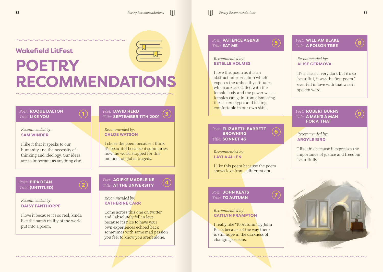#### *Poet:* **PATIENCE AGBABI** *Title:* **EAT ME 5**

#### *Recommended by:* **ESTELLE HOLMES**

I love this poem as it is an abstract interpretation which exposes the unhealthy attitudes which are associated with the female body and the power we as females can gain from dismissing these stereotypes and feeling comfortable in our own skin.

#### *Poet:* **ELIZABETH BARRETT BROWNING** *Title:* **SONNET 43** Recommended by:<br> **EXAM** WINDED **RECOMMENDED BROWNING**<br> **EXAM** WINDED **CHIOE WATSON**

*Recommended by:* **LAYLA ALLEN**

I like this poem because the poem shows love from a different era.

#### *Poet:* **JOHN KEATS** *Title:* **TO AUTUMN 7**

*Recommended by:* **CAITLYN FRAMPTON**

I really like 'To Autumn' by John Keats because of the way there is still hope in the darkness of changing seasons.

#### *Poet:* **WILLIAM BLAKE** *Title:* **A POISON TREE 8**

#### *Recommended by:* **ALISE GERMOVA**

It's a classic, very dark but it's so beautiful, it was the first poem I ever fell in love with that wasn't spoken word.

#### *Poet:* **ROBERT BURNS** *Title:* **A MAN'S A MAN FOR A' THAT**

#### *Recommended by:* **ARGYLE BIRD**

I like this because it expresses the importance of justice and freedom beautifully.



**9**

#### **Wakefield LitFest**

# **POETRY RECOMMENDATIONS**

#### *Poet:* **ROQUE DALTON** *Title:* **LIKE YOU 1**

## **SAM WINDER**

I like it that it speaks to our humanity and the necessity of thinking and ideology. Our ideas are as important as anything else.

#### *Poet:* **PIPA DEAN** *Title:* **(UNTITLED) 2**

#### *Recommended by:* **DAISY FANTHORPE**

I love it because it's so real, kinda like the harsh reality of the world put into a poem.

#### *Poet:* **AOIFKE MADELEINE** *Title:* **AT THE UNIVERSITY 4**

I chose the poem because I think it's beautiful because it summaries how the world stopped for this moment of global tragedy.

*Title:* **SEPTEMBER 11TH 2001 3**

#### *Recommended by:* **KATHERINE CARR**

*Recommended by:* **CHLOE WATSON**

*Poet:* **DAVID HERD**

Come across this one on twitter and I absolutely fell in love because it's nice to have your own experiences echoed back sometimes with same mad passion you feel to know you aren't alone.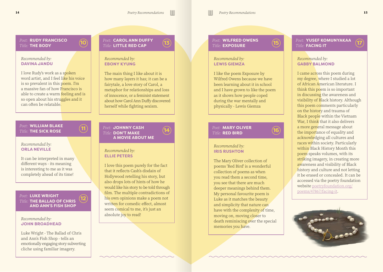#### *Poet:* **WILFRED OWENS** *Title:* **EXPOSURE 15**

#### *Recommended by:* **LEWIS GIEMZA**

I like the poem Exposure by Wilfred Owens because we have been learning about it in school and I have grown to like the poem as it shows how people coped during the war mentally and physically - Lewis Giemza

#### *Poet:* **MARY OLIVER** *Title:* **RED BIRD 16**

#### *Recommended by:* **IRIS RUSHTON**

The Mary Oliver collection of poems 'Red Bird' is a wonderful collection of poems as when you read them a second time, you see that there are much deeper meanings behind them. My personal favourite poem is Luke as it matches the beauty and simplicity that nature can have with the complexity of time, moving on, moving closer to death reminiscing over the special memories you have.

#### *Poet:* **YUSEF KOMUNYAKAA** *Title:* **FACING IT 17**

#### *Recommended by:* **GABBY BALMOND**

I came across this poem during my degree, where I studied a lot of African American literature. I think this poem is so important in discussing the awareness and visibility of Black history. Although this poem comments particularly on the history and trauma of Black people within the Vietnam War, I think that it also delivers a more general message about the importance of equality and acknowledging all cultures and races within society. Particularly within Black History Month this poem speaks volumes, with its striking imagery, in creating more awareness and visibility of Black history and culture and not letting it be erased or concealed. It can be accessed via the poetry foundation website poetryfoundation.org/ poems/47867/facing-it.



#### *Poet:* **RUDY FRANCISCO** *Title:* **THE BODY 10**

#### *Recommended by:* **DAVINA JANDU**

I love Rudy's work as a spoken word artist, and I feel like his voice is so prevalent in this poem. I'm a massive fan of how Francisco is able to create a warm feeling and is so open about his struggles and it can often be relatable.

#### *Poet:* **WILLIAM BLAKE Title: THE SICK ROSE**

#### *Recommended by:* **ORLA NEVILLE**

It can be interpreted in many different ways - its meaning is interesting to me as it was completely ahead of its time!

#### *Poet:* **LUKE WRIGHT** *Title:* **THE BALLAD OF CHRIS AND ANN'S FISH SHOP**

**12**

#### *Recommended by:* **JOHN BROADHEAD**

Luke Wright - The Ballad of Chris and Ann's Fish Shop - tells an emotionally engaging story subverting cliche using familiar imagery.

#### *Poet:* **JOHNNY CASH** *Title:* **DON'T MAKE**

*Recommended by:* **EBONY KYUNG**

The main thing I like about it is how many layers it has; it can be a fairytale, a love story of Carol, a metaphor for relationships and loss of innocence, or a feminist statement about how Carol Ann Duffy discovered herself while fighting sexism.

*Poet:* **CAROL ANN DUFFY** *Title:* **LITTLE RED CAP 13**

**A MOVIE ABOUT ME**

**14**

#### *Recommended by:* **ELLIE PETERS**

I love this poem purely for the fact that it reflects Cash's disdain of Hollywood retelling his story, but also drops lots of hints of how he would like his story to be told through film. The multiple contradictions of his own opinions make a poem not written for comedic effect, almost seem comical to me, it's just an absolute joy to read!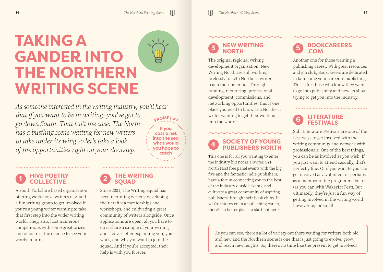## **TAKING A GANDER INTO THE NORTHERN WRITING SCENE**

*As someone interested in the writing industry, you'll hear that if you want to be in writing, you've got to go down South. That isn't the case. The North has a bustling scene waiting for new writers to take under its wing so let's take a look of the opportunities right on your doorstep.*

**If you cast a net into the sea what would you hope to catch**

**PROMPT#7**

## **1** HIVE POETRY COLLECTIVE

A South Yorkshire based organisation offering workshops, writer's day, and a fun writing group to get involved if you're a young writer wanting to take that first step into the wider writing world. They, also, host numerous competitions with some great prizes and of course, the chance to see your words in print.

#### **THE WRITING SQUAD 2**

Since 2001, The Writing Squad has been recruiting writers, developing their craft via mentorships and workshops, and cultivating a great community of writers alongside. Once applications are open, all you have to do is share a sample of your writing and a cover letter explaining you, your work, and why you want to join the squad. And if you're accepted, their help is with you forever.

#### **NEW WRITING NORTH 3**

The original regional writing development organisation, New Writing North are still working tirelessly to help Northern writers reach their potential. Through funding, mentoring, professional development, commissions, and networking opportunities, this is one place you need to know as a Northern writer wanting to get their work out into the world.

#### **SOCIETY OF YOUNG PUBLISHERS NORTH 4**

This one is for all you wanting to enter the industry but not as a writer. SYP North Host free panel events with the big five and the fantastic indie publishers, have a forum connecting you to the best of the industry outside events, and cultivate a great community of aspiring publishers through their book clubs. If you're interested in a publishing career, there's no better place to start but here.

#### **BOOKCAREERS .COM 5**

Another one for those wanting a publishing career. With great resources and job club, Bookcareers are dedicated in launching your career in publishing. This is for those who know they want to go into publishing and now its about trying to get you into the industry.

#### **LITERATURE FESTIVALS 6**

Still, Literature Festivals are one of the best ways to get involved with the writing community and network with professionals. One of the best things, you can be as involved as you wish! If you just want to attend casually, that's perfectly fine. Or if you want to you can get involved as a volunteer or perhaps as a member of the programme board (as you can with WakeyLit Fest). But ultimately, they're just a fun way of getting involved in the writing world however big or small.

As you can see, there's a lot of variety out there waiting for writers both old and new and the Northern scene is one that is just going to evolve, grow, and reach new heights! So, there's no time like the present to get involved!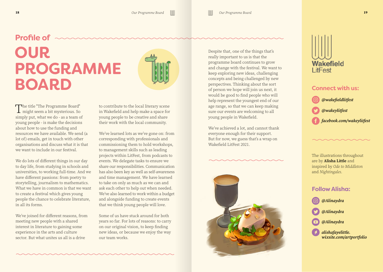## **Profile of OUR PROGRAMME BOARD**



The title "The Programme Board" might seem a bit mysterious. So simply put, what we do - as a team of young people - is make the decisions about how to use the funding and resources we have available. We send (a lot of) emails, get in touch with other organisations and discuss what it is that we want to include in our festival.

We do lots of different things in our day to day life, from studying in schools and universities, to working full-time. And we have different passions: from poetry to storytelling, journalism to mathematics. What we have in common is that we want to create a festival which gives young people the chance to celebrate literature, in all its forms.

We've joined for different reasons, from meeting new people with a shared interest in literature to gaining some experience in the arts and culture sector. But what unites us all is a drive

to contribute to the local literary scene in Wakefield and help make a space for young people to be creative and share their work with the local community.

We've learned lots as we've gone on: from corresponding with professionals and commissioning them to hold workshops, to management skills such as leading projects within LitFest, from podcasts to events. We delegate tasks to ensure we share our responsibilities. Communication has also been key as well as self-awareness and time management. We have learned to take on only as much as we can and ask each other to help out when needed. We've also learned to work within a budget and alongside funding to create events that we think young people will love.

Some of us have stuck around for both years so far. For lots of reasons: to carry on our original vision, to keep finding new ideas, or because we enjoy the way our team works.

Despite that, one of the things that's really important to us is that the programme board continues to grow and change with the festival. We want to keep exploring new ideas, challenging concepts and being challenged by new perspectives. Thinking about the sort of person we hope will join us next, it would be good to find people who will help represent the youngest end of our age range, so that we can keep making sure our events are welcoming to all young people in Wakefield.

We've achieved a lot, and cannot thank everyone enough for their support. But for now, we guess that's a wrap on Wakefield LitFest 2021.



**Connect with us:**

*@wakefieldlitfest*

*@wakeylitfest*

*facebook.com/wakeylitfest*

The illustrations throughout are by Alisha Little and inspired by *Ode to Middleton* and *Nightingales*.

#### **Follow Alisha:**



*@Alinaydra*

*@Alinaydra*

*alishafayelittle. wixsite.com/artportfolio*